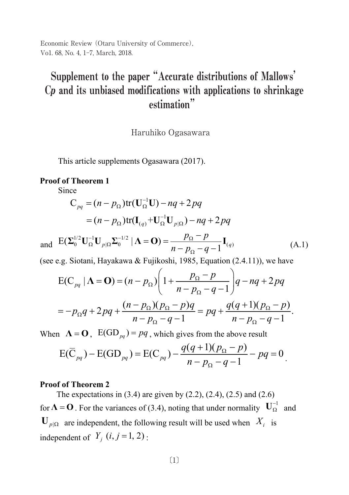Economic Review (Otaru University of Commerce), Vo1. 68, No. 4, 1-7, March, 2018.

# Supplement to the paper "Accurate distributions of Mallows'  $C_p$  and its unbiased modifications with applications to shrinkage estimation"  $\mathcal{L}$  $\mu$  and its unbiased **Supplement to the paper "Accurate distributions of Mallows' C***<sup>p</sup>* **and**

Haruhiko Ogasawara

This article supplements Ogasawara (2017).

### **Proof of Theorem 1**

Since

$$
C_{pq} = (n - p_{\Omega}) \text{tr}(\mathbf{U}_{\Omega}^{-1} \mathbf{U}) - nq + 2pq
$$
  
=  $(n - p_{\Omega}) \text{tr}(\mathbf{I}_{(q)} + \mathbf{U}_{\Omega}^{-1} \mathbf{U}_{p|\Omega}) - nq + 2pq$ 

and  $E(\Sigma_0^{1/2} U_{\Omega}^{-1} U_{p|\Omega} \Sigma_0^{-1/2} | \Lambda = 0) = \frac{p_{\Omega} - p}{n - p_{\Omega} - q - 1} I_{(q)}$  $n-p_{\Omega}-q$  $\frac{1}{\Omega} \mathbf{U}_{p|\Omega} \mathbf{\Sigma}_{0}^{-1/2} | \mathbf{\Lambda} = \mathbf{O} ) = \frac{P_{\Omega}}{P_{\Omega}}$  $\sum_{0}^{1/2} \mathbf{U}_{\Omega}^{-1} \mathbf{U}_{p|\Omega} \Sigma_{0}^{-1/2} | \mathbf{\Lambda} = \mathbf{O} ) = \frac{p_{\Omega} - p}{n - p_{\Omega} - q - 1} \mathbf{I}_{(q)}$  (A.1)

(see e.g. Siotani, Hayakawa & Fujikoshi, 1985, Equation (2.4.11)), we have

$$
E(C_{pq} | \Lambda = \mathbf{O}) = (n - p_{\Omega}) \left( 1 + \frac{p_{\Omega} - p}{n - p_{\Omega} - q - 1} \right) q - nq + 2pq
$$
  
=  $-p_{\Omega}q + 2pq + \frac{(n - p_{\Omega})(p_{\Omega} - p)q}{n - p_{\Omega} - q - 1} = pq + \frac{q(q + 1)(p_{\Omega} - p)}{n - p_{\Omega} - q - 1}.$ 

When  $\Lambda = \mathbf{O}$ ,  $E(GD_{pq}) = pq$ , which gives from the above result

$$
E(\overline{C}_{pq}) - E(GD_{pq}) = E(C_{pq}) - \frac{q(q+1)(p_{\Omega} - p)}{n - p_{\Omega} - q - 1} - pq = 0
$$

### **Proof of Theorem 2**

The expectations in  $(3.4)$  are given by  $(2.2)$ ,  $(2.4)$ ,  $(2.5)$  and  $(2.6)$ for  $\Lambda = 0$ . For the variances of (3.4), noting that under normality  $U_{\Omega}^{-1}$  and  $\mathbf{U}_{p|\Omega}$  are independent, the following result will be used when  $X_i$  is independent of  $Y_i$   $(i, j = 1, 2)$  :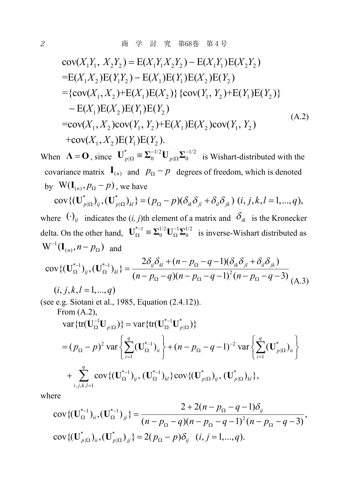$$
cov(X_1Y_1, X_2Y_2) = E(X_1Y_1X_2Y_2) - E(X_1Y_1)E(X_2Y_2)
$$
  
\n=  $E(X_1X_2)E(Y_1Y_2) - E(X_1)E(Y_1)E(X_2)E(Y_2)$   
\n=  $\{cov(X_1, X_2) + E(X_1)E(X_2)\} \{cov(Y_1, Y_2) + E(Y_1)E(Y_2)\}$   
\n-  $E(X_1)E(X_2)E(Y_1)E(Y_2)$   
\n=  $cov(X_1, X_2)cov(Y_1, Y_2) + E(X_1)E(X_2)cov(Y_1, Y_2)$   
\n+  $cov(X_1, X_2)E(Y_1)E(Y_2)$ . (A.2)

When  $\mathbf{\Lambda} = \mathbf{O}$ , since  $\mathbf{U}_{p|\Omega}^* = \mathbf{\Sigma}_0^{-1/2} \mathbf{U}_{p|\Omega} \mathbf{\Sigma}_0^{-1/2}$  $\mathbf{U}_{p|\Omega}^* \equiv \mathbf{\Sigma}_0^{-1/2} \mathbf{U}_{p|\Omega} \mathbf{\Sigma}_0^{-1/2}$  is Wishart-distributed with the covariance matrix  $I_{(n)}$  and  $p_{\Omega} - p$  degrees of freedom, which is denoted by  $W(I_{(n)}, p_{\Omega} - p)$ , we have

 $\text{cov}\{(\mathbf{U}_{p|\Omega}^*)_{ij}, (\mathbf{U}_{p|\Omega}^*)_{kl}\} = (p_{\Omega} - p)(\delta_{ik}\delta_{jl} + \delta_{il}\delta_{jk})$   $(i, j, k, l = 1, ..., q)$ , where  $\left(\cdot\right)_{ii}$  indicates the  $(i, j)$ th element of a matrix and  $\delta_{ik}$  is the Kronecker

delta. On the other hand,  $\mathbf{U}_{\Omega}^{*-1} \equiv \Sigma_0^{1/2} \mathbf{U}_{\Omega}^{-1} \Sigma_0^{1/2}$  is inverse-Wishart distributed as  $W^{-1}(\mathbf{I}_{(n)}, n - p_{\Omega})$  and

$$
cov\{(\mathbf{U}_{\Omega}^{*-1})_{ij}, (\mathbf{U}_{\Omega}^{*-1})_{kl}\} = \frac{2\delta_{ij}\delta_{kl} + (n - p_{\Omega} - q - 1)(\delta_{ik}\delta_{jl} + \delta_{il}\delta_{jk})}{(n - p_{\Omega} - q)(n - p_{\Omega} - q - 1)^{2}(n - p_{\Omega} - q - 3)}
$$
(A.3)  
(i, j, k, l = 1, ..., q)

(see e.g. Siotani et al., 1985, Equation (2.4.12)).

From (A.2),  
\n
$$
\text{var}\{\text{tr}(\mathbf{U}_{\Omega}^{-1}\mathbf{U}_{p|\Omega})\} = \text{var}\{\text{tr}(\mathbf{U}_{\Omega}^{*-1}\mathbf{U}_{p|\Omega}^{*})\}
$$
\n
$$
= (p_{\Omega} - p)^{2} \text{ var}\left\{\sum_{i=1}^{q} (\mathbf{U}_{\Omega}^{*1})_{ii}\right\} + (n - p_{\Omega} - q - 1)^{-2} \text{ var}\left\{\sum_{i=1}^{q} (\mathbf{U}_{p|\Omega}^{*})_{ii}\right\}
$$
\n
$$
+ \sum_{i,j,k,l=1}^{q} \text{cov}\{(\mathbf{U}_{\Omega}^{*-1})_{ij}, (\mathbf{U}_{\Omega}^{*1})_{kl}\} \text{cov}\{(\mathbf{U}_{p|\Omega}^{*})_{ij}, (\mathbf{U}_{p|\Omega}^{*})_{kl}\},
$$

where

$$
cov\{(\mathbf{U}_{\Omega}^{*-1})_{ii}, (\mathbf{U}_{\Omega}^{*-1})_{jj}\} = \frac{2 + 2(n - p_{\Omega} - q - 1)\delta_{ij}}{(n - p_{\Omega} - q)(n - p_{\Omega} - q - 1)^{2}(n - p_{\Omega} - q - 3)},
$$
  
\n
$$
cov\{(\mathbf{U}_{p|\Omega}^{*})_{ii}, (\mathbf{U}_{p|\Omega}^{*})_{jj}\} = 2(p_{\Omega} - p)\delta_{ij} \quad (i, j = 1, ..., q).
$$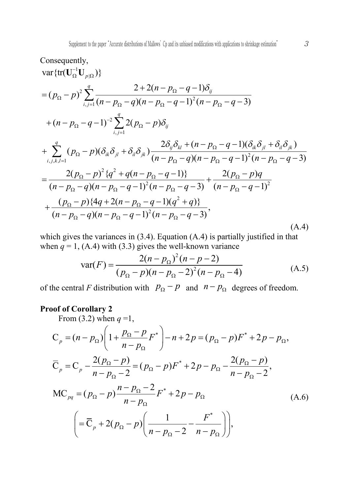Consequently,  
\n
$$
\begin{aligned}\n&\text{var}\{\text{tr}(\mathbf{U}_{\Omega}^{-1}\mathbf{U}_{p|\Omega})\} \\
&= (p_{\Omega} - p)^2 \sum_{i,j=1}^q \frac{2 + 2(n - p_{\Omega} - q - 1)\delta_{ij}}{(n - p_{\Omega} - q)(n - p_{\Omega} - q - 1)^2 (n - p_{\Omega} - q - 3)} \\
&+ (n - p_{\Omega} - q - 1)^{-2} \sum_{i,j=1}^q 2(p_{\Omega} - p)\delta_{ij} \\
&+ \sum_{i,j,k,l=1}^q (p_{\Omega} - p)(\delta_{ik}\delta_{jl} + \delta_{il}\delta_{jk}) \frac{2\delta_{ij}\delta_{kl} + (n - p_{\Omega} - q - 1)(\delta_{ik}\delta_{jl} + \delta_{il}\delta_{jk})}{(n - p_{\Omega} - q)(n - p_{\Omega} - q - 1)^2 (n - p_{\Omega} - q - 3)} \\
&= \frac{2(p_{\Omega} - p)^2 \{q^2 + q(n - p_{\Omega} - q - 1)\}}{(n - p_{\Omega} - q)(n - p_{\Omega} - q - 1)^2 (n - p_{\Omega} - q - 3)} + \frac{2(p_{\Omega} - p)q}{(n - p_{\Omega} - q - 1)^2} \\
&+ \frac{(p_{\Omega} - p)\{4q + 2(n - p_{\Omega} - q - 1)(q^2 + q)\}}{(n - p_{\Omega} - q)(n - p_{\Omega} - q - 1)^2 (n - p_{\Omega} - q - 3)},\n\end{aligned} \tag{A.4}
$$

which gives the variances in (3.4). Equation (A.4) is partially justified in that when  $q = 1$ , (A.4) with (3.3) gives the well-known variance

$$
\text{var}(F) = \frac{2(n - p_{\Omega})^2 (n - p - 2)}{(p_{\Omega} - p)(n - p_{\Omega} - 2)^2 (n - p_{\Omega} - 4)}
$$
(A.5)

of the central *F* distribution with  $p_{\Omega} - p$  and  $n - p_{\Omega}$  degrees of freedom.

## **Proof of Corollary 2**

From (3.2) when  $q=1$ ,

$$
C_{p} = (n - p_{\Omega}) \left( 1 + \frac{p_{\Omega} - p}{n - p_{\Omega}} F^{*} \right) - n + 2p = (p_{\Omega} - p) F^{*} + 2p - p_{\Omega},
$$
  
\n
$$
\overline{C}_{p} = C_{p} - \frac{2(p_{\Omega} - p)}{n - p_{\Omega} - 2} = (p_{\Omega} - p) F^{*} + 2p - p_{\Omega} - \frac{2(p_{\Omega} - p)}{n - p_{\Omega} - 2},
$$
  
\n
$$
MC_{pq} = (p_{\Omega} - p) \frac{n - p_{\Omega} - 2}{n - p_{\Omega}} F^{*} + 2p - p_{\Omega}
$$
\n
$$
= \overline{C}_{p} + 2(p_{\Omega} - p) \left( \frac{1}{n - p_{\Omega} - 2} - \frac{F^{*}}{n - p_{\Omega}} \right),
$$
\n(A.6)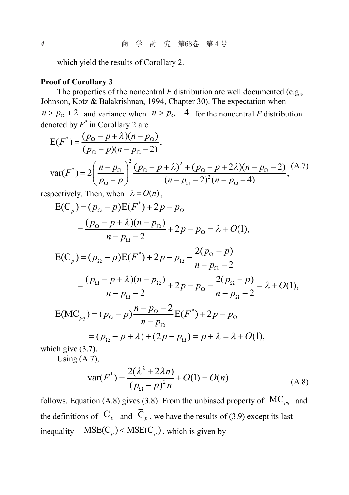which yield the results of Corollary 2.

### **Proof of Corollary 3**

The properties of the noncentral *F* distribution are well documented (e.g., Johnson, Kotz & Balakrishnan, 1994, Chapter 30). The expectation when  $n > p_{\Omega} + 2$  and variance when  $n > p_{\Omega} + 4$  for the noncentral *F* distribution denoted by *F*\* in Corollary 2 are

$$
E(F^*) = \frac{(p_{\Omega} - p + \lambda)(n - p_{\Omega})}{(p_{\Omega} - p)(n - p_{\Omega} - 2)},
$$
  
var(F^\*) = 2\left(\frac{n - p\_{\Omega}}{p\_{\Omega} - p}\right)^2 \frac{(p\_{\Omega} - p + \lambda)^2 + (p\_{\Omega} - p + 2\lambda)(n - p\_{\Omega} - 2)}{(n - p\_{\Omega} - 2)^2 (n - p\_{\Omega} - 4)}, (A.7)

respectively. Then, when  $\lambda = O(n)$ ,

$$
E(C_p) = (p_{\Omega} - p)E(F^*) + 2p - p_{\Omega}
$$
  
\n
$$
= \frac{(p_{\Omega} - p + \lambda)(n - p_{\Omega})}{n - p_{\Omega} - 2} + 2p - p_{\Omega} = \lambda + O(1),
$$
  
\n
$$
E(\overline{C}_p) = (p_{\Omega} - p)E(F^*) + 2p - p_{\Omega} - \frac{2(p_{\Omega} - p)}{n - p_{\Omega} - 2}
$$
  
\n
$$
= \frac{(p_{\Omega} - p + \lambda)(n - p_{\Omega})}{n - p_{\Omega} - 2} + 2p - p_{\Omega} - \frac{2(p_{\Omega} - p)}{n - p_{\Omega} - 2} = \lambda + O(1),
$$
  
\n
$$
E(MC_{pq}) = (p_{\Omega} - p) \frac{n - p_{\Omega} - 2}{n - p_{\Omega}} E(F^*) + 2p - p_{\Omega}
$$
  
\n
$$
= (p_{\Omega} - p + \lambda) + (2p - p_{\Omega}) = p + \lambda = \lambda + O(1),
$$

which give  $(3.7)$ .

Using (A.7),

$$
var(F^*) = \frac{2(\lambda^2 + 2\lambda n)}{(p_{\Omega} - p)^2 n} + O(1) = O(n)
$$
 (A.8)

follows. Equation (A.8) gives (3.8). From the unbiased property of  $MC_{na}$  and the definitions of  $C_p$  and  $\overline{C}_p$ , we have the results of (3.9) except its last inequality  $MSE(\overline{C}_p) < MSE(C_p)$ , which is given by

4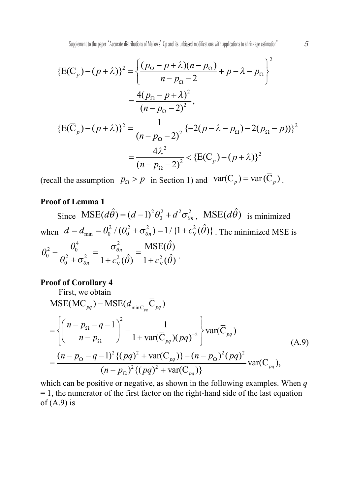$$
\{E(C_p) - (p + \lambda)\}^2 = \left\{\frac{(p_\Omega - p + \lambda)(n - p_\Omega)}{n - p_\Omega - 2} + p - \lambda - p_\Omega\right\}^2
$$
  

$$
= \frac{4(p_\Omega - p + \lambda)^2}{(n - p_\Omega - 2)^2},
$$
  

$$
\{E(\overline{C}_p) - (p + \lambda)\}^2 = \frac{1}{(n - p_\Omega - 2)^2} \{-2(p - \lambda - p_\Omega) - 2(p_\Omega - p))\}^2
$$
  

$$
= \frac{4\lambda^2}{(n - p_\Omega - 2)^2} < \{E(C_p) - (p + \lambda)\}^2
$$

(recall the assumption  $p_{\Omega} > p$  in Section 1) and  $var(C_p) = var(\overline{C}_p)$ .

# **Proof of Lemma 1**

Since  $MSE(d\hat{\theta}) = (d-1)^2 \theta_0^2 + d^2 \sigma_{\theta n}^2$ ,  $MSE(d\hat{\theta})$  is minimized when  $d = d_{\min} = \theta_0^2 / (\theta_0^2 + \sigma_{\theta n}^2) = 1 / (1 + c_{\text{V}}^2(\hat{\theta}))$ . The minimized MSE is  $\frac{\theta_0^2}{\theta_0^2 + \sigma_{\theta n}^2} = \frac{\sigma_{\theta n}^2}{1 + c_{\rm V}^2(\hat{\theta})} = \frac{\text{MSE}}{1 + c_{\rm V}^2}$  $\mathrm{MSE}(\hat\theta)$  $\frac{\sigma_{\theta n}}{1 + c_{\rm V}^2(\hat{\theta})} = \frac{\text{mBL}(\hat{\theta})}{1 + c_{\rm V}^2(\hat{\theta})}$  $r_n$   $1 + c_v^2(\theta)$   $1 + c_v^2(\theta)$ θ θ  $\theta_0^2 - \frac{\theta_0^4}{\theta_0^2 + \sigma_{\theta n}^2} = \frac{\sigma_{\theta n}^2}{1 + c_{\rm V}^2(\hat{\theta})} = \frac{\text{MSE}(\theta)}{1 + c_{\rm V}^2(\hat{\theta})}.$ 

### **Proof of Corollary 4**

First, we obtain  
\n
$$
MSE(MC_{pq}) - MSE(d_{min\bar{C}_{pq}}\bar{C}_{pq})
$$
\n
$$
= \left\{\left(\frac{n - p_{\Omega} - q - 1}{n - p_{\Omega}}\right)^2 - \frac{1}{1 + \text{var}(\bar{C}_{pq})(pq)^{-2}}\right\} \text{var}(\bar{C}_{pq})
$$
\n
$$
= \frac{(n - p_{\Omega} - q - 1)^2 \{(pq)^2 + \text{var}(\bar{C}_{pq})\} - (n - p_{\Omega})^2 (pq)^2}{(n - p_{\Omega})^2 \{(pq)^2 + \text{var}(\bar{C}_{pq})\}} \text{var}(\bar{C}_{pq}),
$$
\n(A.9)

which can be positive or negative, as shown in the following examples. When *q*  $= 1$ , the numerator of the first factor on the right-hand side of the last equation of  $(A.9)$  is

5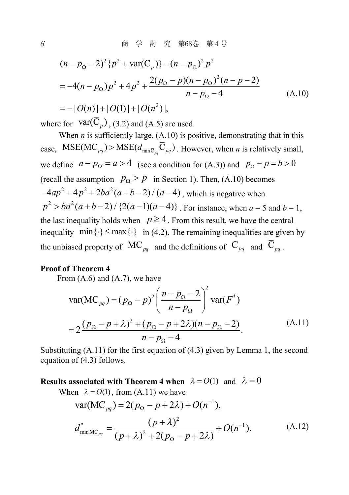$$
(n - p_{\Omega} - 2)^2 \{p^2 + \text{var}(\overline{C}_p)\} - (n - p_{\Omega})^2 p^2
$$
  
= -4(n - p\_{\Omega})p^2 + 4p^2 + \frac{2(p\_{\Omega} - p)(n - p\_{\Omega})^2(n - p - 2)}{n - p\_{\Omega} - 4} (A.10)  
= -|O(n)| + |O(1)| + |O(n^2)|,

where for  $\text{var}(C_n)$ , (3.2) and (A.5) are used.

When  $n$  is sufficiently large,  $(A.10)$  is positive, demonstrating that in this case,  $MSE(MC_{pa}) > MSE(d_{min\bar{C}_{pa}}\bar{C}_{pa})$ . However, when *n* is relatively small, we define  $n-p_0 = a > 4$  (see a condition for (A.3)) and  $p_0 - p = b > 0$ (recall the assumption  $p_{\Omega} > p$  in Section 1). Then, (A.10) becomes  $-4ap^{2} + 4p^{2} + 2ba^{2}(a+b-2)/(a-4)$ , which is negative when  $p^2 > ba^2(a+b-2)/{2(a-1)(a-4)}$ . For instance, when  $a = 5$  and  $b = 1$ . the last inequality holds when  $p \ge 4$ . From this result, we have the central inequality  $min\{\cdot\} \le max\{\cdot\}$  in (4.2). The remaining inequalities are given by the unbiased property of  $MC_{pq}$  and the definitions of  $C_{pq}$  and  $\overline{C}_{pa}$ .

### **Proof of Theorem 4**

From  $(A.6)$  and  $(A.7)$ , we have

$$
\text{var}(\text{MC}_{pq}) = (p_{\Omega} - p)^2 \left( \frac{n - p_{\Omega} - 2}{n - p_{\Omega}} \right)^2 \text{var}(F^*)
$$
  
= 
$$
2 \frac{(p_{\Omega} - p + \lambda)^2 + (p_{\Omega} - p + 2\lambda)(n - p_{\Omega} - 2)}{n - p_{\Omega} - 4}.
$$
 (A.11)

Substituting  $(A.11)$  for the first equation of  $(4.3)$  given by Lemma 1, the second equation of (4.3) follows.

**Results associated** with Theorem 4 when  $\lambda = O(1)$  and  $\lambda = 0$ 

When 
$$
\lambda = O(1)
$$
, from (A.11) we have  
\n
$$
var(MC_{pq}) = 2(p_{\Omega} - p + 2\lambda) + O(n^{-1}),
$$
\n
$$
d_{\min MC_{pq}}^{*} = \frac{(p + \lambda)^{2}}{(p + \lambda)^{2} + 2(p_{\Omega} - p + 2\lambda)} + O(n^{-1}).
$$
\n(A.12)